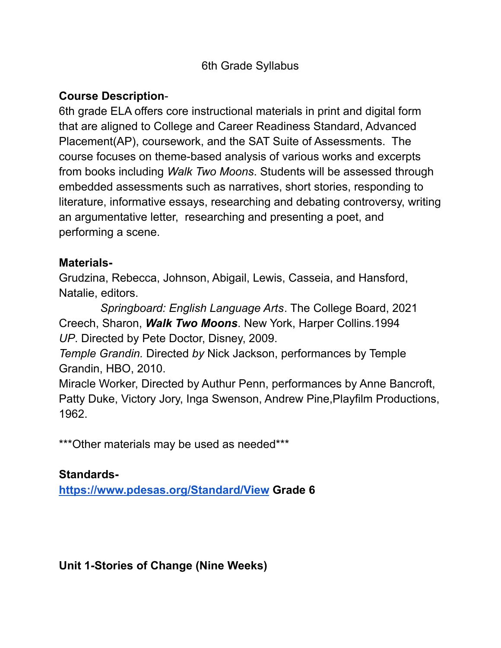#### 6th Grade Syllabus

#### **Course Description**-

6th grade ELA offers core instructional materials in print and digital form that are aligned to College and Career Readiness Standard, Advanced Placement(AP), coursework, and the SAT Suite of Assessments. The course focuses on theme-based analysis of various works and excerpts from books including *Walk Two Moons*. Students will be assessed through embedded assessments such as narratives, short stories, responding to literature, informative essays, researching and debating controversy, writing an argumentative letter, researching and presenting a poet, and performing a scene.

#### **Materials-**

Grudzina, Rebecca, Johnson, Abigail, Lewis, Casseia, and Hansford, Natalie, editors.

*Springboard: English Language Arts*. The College Board, 2021 Creech, Sharon, *Walk Two Moons*. New York, Harper Collins.1994 *UP*. Directed by Pete Doctor, Disney, 2009.

*Temple Grandin.* Directed *by* Nick Jackson, performances by Temple Grandin, HBO, 2010.

Miracle Worker, Directed by Authur Penn, performances by Anne Bancroft, Patty Duke, Victory Jory, Inga Swenson, Andrew Pine,Playfilm Productions, 1962.

\*\*\* Other materials may be used as needed\*\*\*

### **Standards-**

**<https://www.pdesas.org/Standard/View> Grade 6**

**Unit 1-Stories of Change (Nine Weeks)**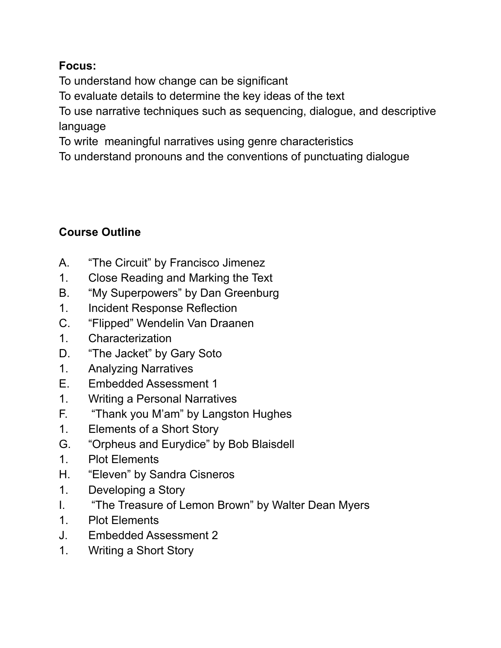## **Focus:**

To understand how change can be significant

To evaluate details to determine the key ideas of the text

To use narrative techniques such as sequencing, dialogue, and descriptive language

To write meaningful narratives using genre characteristics

To understand pronouns and the conventions of punctuating dialogue

# **Course Outline**

- A. "The Circuit" by Francisco Jimenez
- 1. Close Reading and Marking the Text
- B. "My Superpowers" by Dan Greenburg
- 1. Incident Response Reflection
- C. "Flipped" Wendelin Van Draanen
- 1. Characterization
- D. "The Jacket" by Gary Soto
- 1. Analyzing Narratives
- E. Embedded Assessment 1
- 1. Writing a Personal Narratives
- F. "Thank you M'am" by Langston Hughes
- 1. Elements of a Short Story
- G. "Orpheus and Eurydice" by Bob Blaisdell
- 1. Plot Elements
- H. "Eleven" by Sandra Cisneros
- 1. Developing a Story
- I. "The Treasure of Lemon Brown" by Walter Dean Myers
- 1. Plot Elements
- J. Embedded Assessment 2
- 1. Writing a Short Story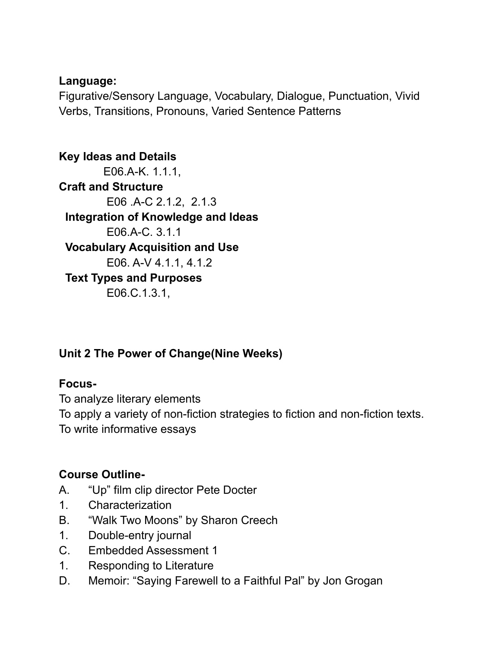#### **Language:**

Figurative/Sensory Language, Vocabulary, Dialogue, Punctuation, Vivid Verbs, Transitions, Pronouns, Varied Sentence Patterns

**Key Ideas and Details** E06.A-K. 1.1.1, **Craft and Structure** E06 .A-C 2.1.2, 2.1.3 **Integration of Knowledge and Ideas** E06.A-C. 3.1.1 **Vocabulary Acquisition and Use** E06. A-V 4.1.1, 4.1.2 **Text Types and Purposes** E06.C.1.3.1,

# **Unit 2 The Power of Change(Nine Weeks)**

## **Focus-**

To analyze literary elements

To apply a variety of non-fiction strategies to fiction and non-fiction texts.

To write informative essays

# **Course Outline-**

- A. "Up" film clip director Pete Docter
- 1. Characterization
- B. "Walk Two Moons" by Sharon Creech
- 1. Double-entry journal
- C. Embedded Assessment 1
- 1. Responding to Literature
- D. Memoir: "Saying Farewell to a Faithful Pal" by Jon Grogan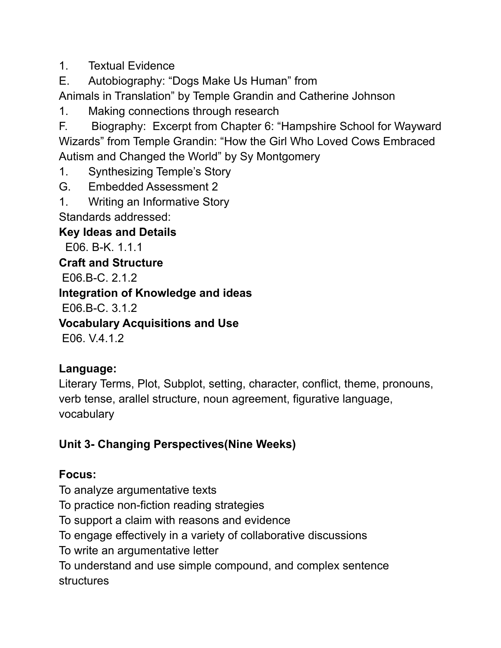1. Textual Evidence

E. Autobiography: "Dogs Make Us Human" from

Animals in Translation" by Temple Grandin and Catherine Johnson

1. Making connections through research

F. Biography: Excerpt from Chapter 6: "Hampshire School for Wayward Wizards" from Temple Grandin: "How the Girl Who Loved Cows Embraced Autism and Changed the World" by Sy Montgomery

1. Synthesizing Temple's Story

- G. Embedded Assessment 2
- 1. Writing an Informative Story Standards addressed:

**Key Ideas and Details**

E06. B-K. 1.1.1

**Craft and Structure**

E06.B-C. 2.1.2

**Integration of Knowledge and ideas**

E06.B-C. 3.1.2

**Vocabulary Acquisitions and Use**

E06. V.4.1.2

# **Language:**

Literary Terms, Plot, Subplot, setting, character, conflict, theme, pronouns, verb tense, arallel structure, noun agreement, figurative language, vocabulary

# **Unit 3- Changing Perspectives(Nine Weeks)**

# **Focus:**

To analyze argumentative texts

To practice non-fiction reading strategies

To support a claim with reasons and evidence

To engage effectively in a variety of collaborative discussions

To write an argumentative letter

To understand and use simple compound, and complex sentence structures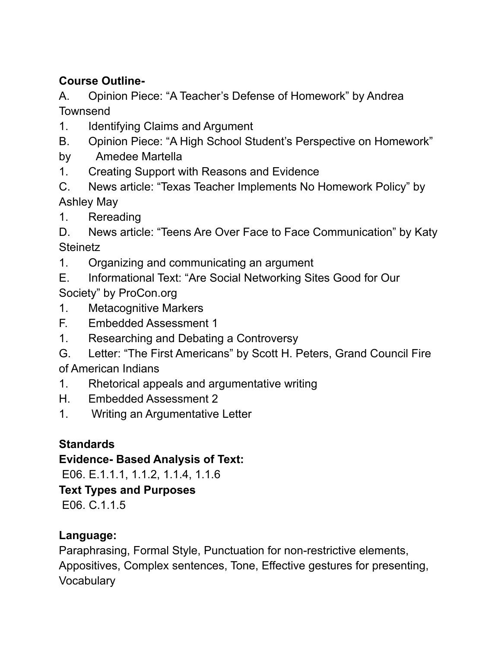## **Course Outline-**

A. Opinion Piece: "A Teacher's Defense of Homework" by Andrea **Townsend** 

- 1. Identifying Claims and Argument
- B. Opinion Piece: "A High School Student's Perspective on Homework"
- by Amedee Martella
- 1. Creating Support with Reasons and Evidence
- C. News article: "Texas Teacher Implements No Homework Policy" by Ashley May
- 1. Rereading

D. News article: "Teens Are Over Face to Face Communication" by Katy **Steinetz** 

- 1. Organizing and communicating an argument
- E. Informational Text: "Are Social Networking Sites Good for Our Society" by ProCon.org
- 1. Metacognitive Markers
- F. Embedded Assessment 1
- 1. Researching and Debating a Controversy
- G. Letter: "The First Americans" by Scott H. Peters, Grand Council Fire of American Indians
- 1. Rhetorical appeals and argumentative writing
- H. Embedded Assessment 2
- 1. Writing an Argumentative Letter

## **Standards**

**Evidence- Based Analysis of Text:**

E06. E.1.1.1, 1.1.2, 1.1.4, 1.1.6

### **Text Types and Purposes**

E06. C.1.1.5

## **Language:**

Paraphrasing, Formal Style, Punctuation for non-restrictive elements, Appositives, Complex sentences, Tone, Effective gestures for presenting, **Vocabulary**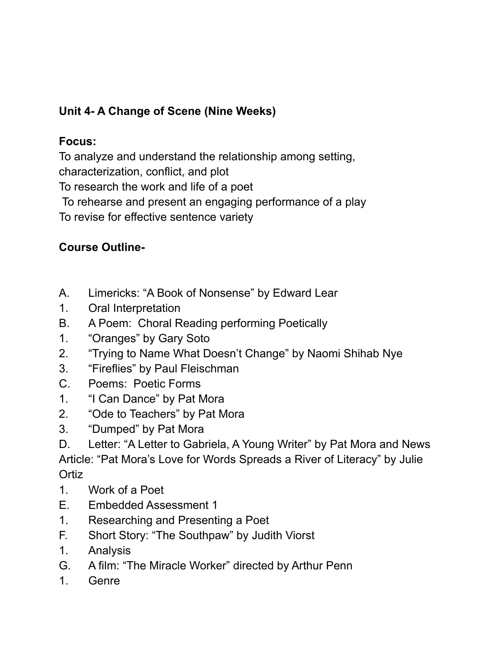# **Unit 4- A Change of Scene (Nine Weeks)**

## **Focus:**

To analyze and understand the relationship among setting, characterization, conflict, and plot To research the work and life of a poet To rehearse and present an engaging performance of a play To revise for effective sentence variety

# **Course Outline-**

- A. Limericks: "A Book of Nonsense" by Edward Lear
- 1. Oral Interpretation
- B. A Poem: Choral Reading performing Poetically
- 1. "Oranges" by Gary Soto
- 2. "Trying to Name What Doesn't Change" by Naomi Shihab Nye
- 3. "Fireflies" by Paul Fleischman
- C. Poems: Poetic Forms
- 1. "I Can Dance" by Pat Mora
- 2. "Ode to Teachers" by Pat Mora
- 3. "Dumped" by Pat Mora

D. Letter: "A Letter to Gabriela, A Young Writer" by Pat Mora and News Article: "Pat Mora's Love for Words Spreads a River of Literacy" by Julie **Ortiz** 

- 1. Work of a Poet
- E. Embedded Assessment 1
- 1. Researching and Presenting a Poet
- F. Short Story: "The Southpaw" by Judith Viorst
- 1. Analysis
- G. A film: "The Miracle Worker" directed by Arthur Penn
- 1. Genre